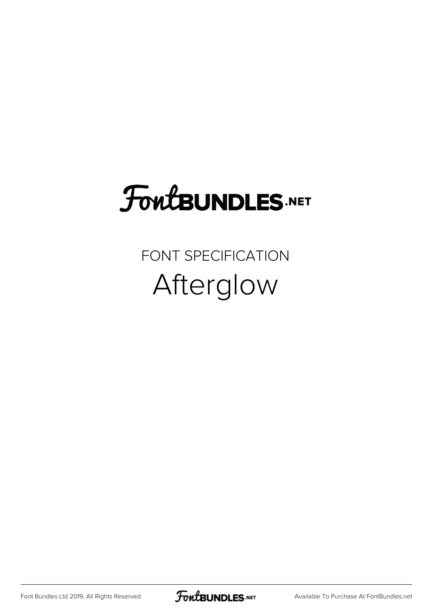## **FoutBUNDLES.NET**

FONT SPECIFICATION Afterglow

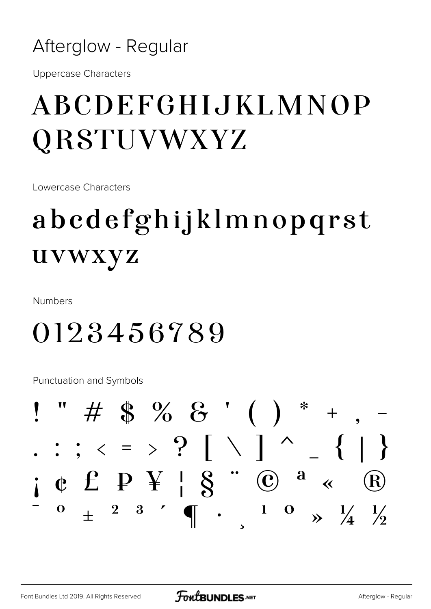#### Afterglow - Regular

**Uppercase Characters** 

#### ABCDEFGHIJKLMNOP **QRSTUVWXYZ**

Lowercase Characters

### abcdefghijklmnopqrst uvwxyz

**Numbers** 

#### 0123456789

**Punctuation and Symbols** 

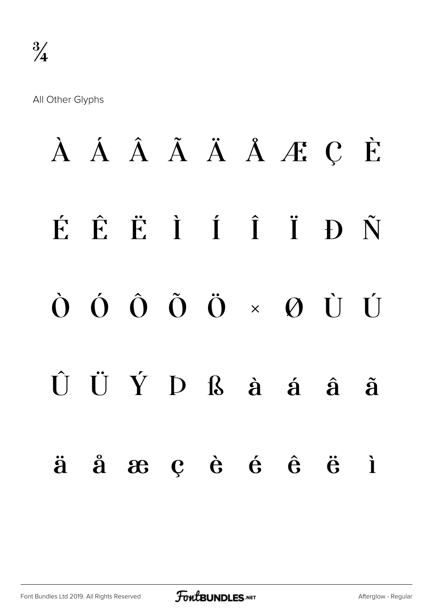All Other Glyphs

# À Á Â Ã Ä Å Æ Ç È É Ê Ë Ì Í Î Ï Ð Ñ Ò Ó Ô Õ Ö × Ø Ù Ú  $\hat{U}$   $\hat{U}$   $\hat{Y}$   $D$   $\hat{B}$   $\hat{a}$   $\hat{a}$   $\hat{a}$   $\hat{a}$ ä å æ ç è é ê ë ì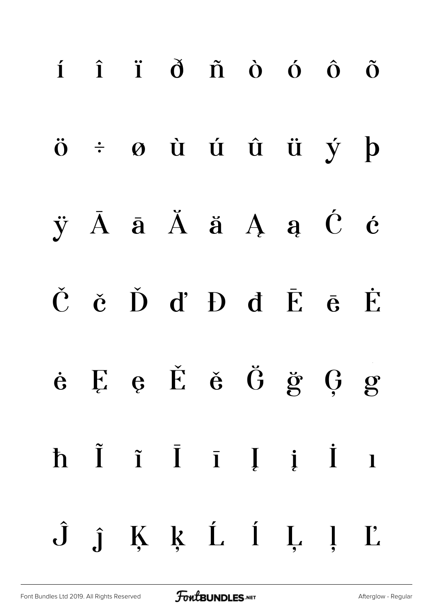| $i$ $\hat{i}$ $\hat{d}$ $\hat{n}$ $\hat{o}$ $\hat{o}$ $\hat{o}$                                   |  |  |  |  |
|---------------------------------------------------------------------------------------------------|--|--|--|--|
| $\ddot{o}$ $\div$ $\phi$ $\dot{u}$ $\dot{u}$ $\ddot{u}$ $\dot{u}$ $\dot{y}$ $\dot{p}$             |  |  |  |  |
| $\ddot{y}$ $\ddot{A}$ $\ddot{a}$ $\ddot{A}$ $\ddot{a}$ $\ddot{A}$ $\ddot{a}$ $\ddot{C}$ $\dot{c}$ |  |  |  |  |
| Č č Ď ď Đ đ Ē ē Ė                                                                                 |  |  |  |  |
| $\dot{e}$ $\dot{E}$ $\dot{e}$ $\dot{E}$ $\dot{e}$ $\ddot{G}$ $\ddot{g}$ $\dot{G}$ $g$             |  |  |  |  |
| h Ĩ ĩ Ī Ī Ị i Ī ı                                                                                 |  |  |  |  |
| $\hat{J}$ $\hat{j}$ $\hat{K}$ $\hat{k}$ $\hat{L}$ $\hat{i}$ $\hat{L}$ $\hat{j}$ $\hat{L}$         |  |  |  |  |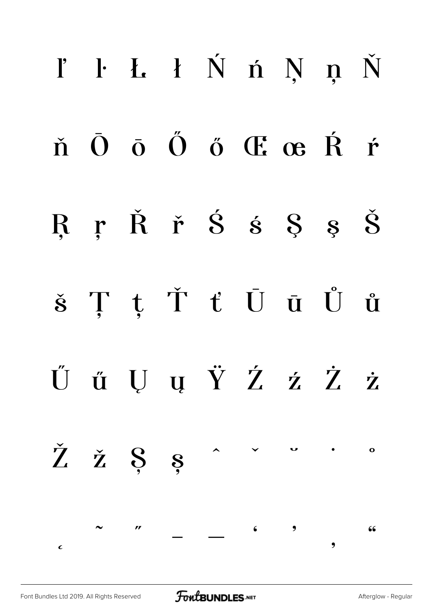|            | l' l l l Ń ń Ņ ņ Ň                                       |              |  |                                                           |  |  |
|------------|----------------------------------------------------------|--------------|--|-----------------------------------------------------------|--|--|
|            | ň Ō ō Ő ő Œ œ Ŕ ŕ                                        |              |  |                                                           |  |  |
|            | RŗŘř $\dot{S}$ s $\dot{S}$ s $\dot{S}$                   |              |  |                                                           |  |  |
|            | $\check{s}$ Ţ ţ Ť ť Ū ū Ů ů                              |              |  |                                                           |  |  |
|            | ŰűŲųŸŹźŻż                                                |              |  |                                                           |  |  |
|            | $\check{Z}$ $\check{z}$ $\&$ $s$ $\circ$ $\circ$ $\circ$ |              |  |                                                           |  |  |
| $\epsilon$ |                                                          | $\mathbf{r}$ |  | $  \left.\begin{array}{ccc} 6 & 9 & 9 \end{array}\right.$ |  |  |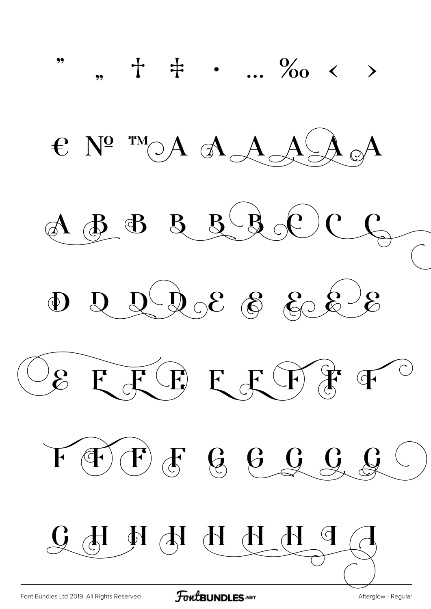

**FoutBUNDLES**.NET

Afterglow - Regular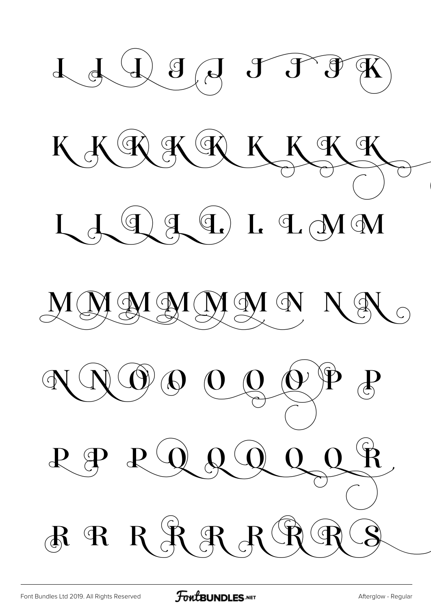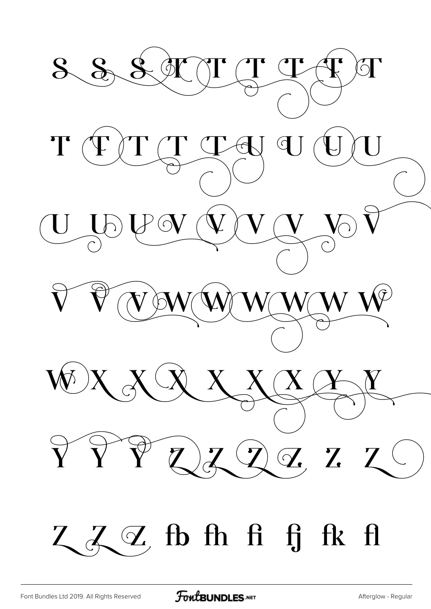